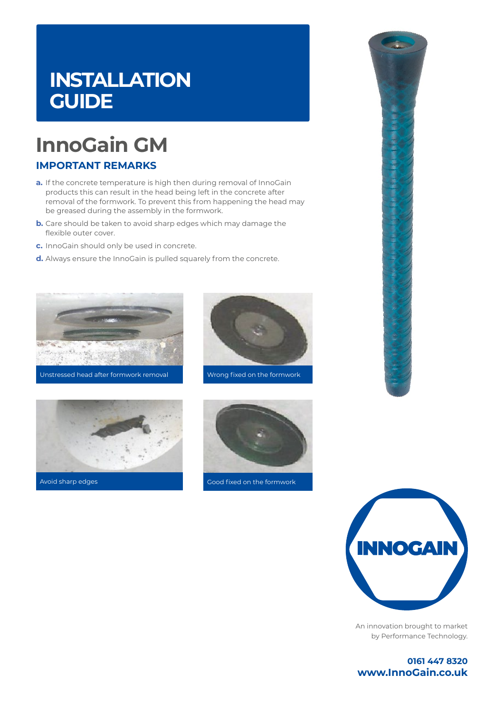### **INSTALLATION GUIDE**

# **InnoGain GM**

### **IMPORTANT REMARKS**

- **a.** If the concrete temperature is high then during removal of InnoGain products this can result in the head being left in the concrete after removal of the formwork. To prevent this from happening the head may be greased during the assembly in the formwork.
- **b.** Care should be taken to avoid sharp edges which may damage the flexible outer cover.
- **c.** InnoGain should only be used in concrete.
- **d.** Always ensure the InnoGain is pulled squarely from the concrete.











Avoid sharp edges Good fixed on the formwork



An innovation brought to market by Performance Technology.

**0161 447 8320 www.InnoGain.co.uk**